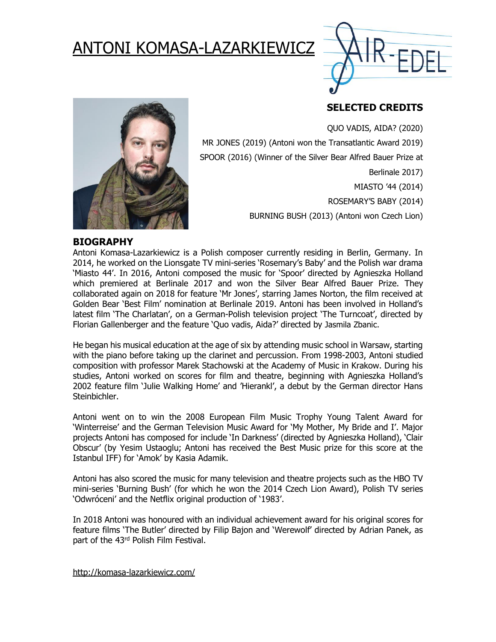# ANTONI KOMASA-LAZARKIEWICZ



## **SELECTED CREDITS**

QUO VADIS, AIDA? (2020)



MR JONES (2019) (Antoni won the Transatlantic Award 2019) SPOOR (2016) (Winner of the Silver Bear Alfred Bauer Prize at Berlinale 2017) MIASTO '44 (2014) ROSEMARY'S BABY (2014) BURNING BUSH (2013) (Antoni won Czech Lion)

#### **BIOGRAPHY**

Antoni Komasa-Lazarkiewicz is a Polish composer currently residing in Berlin, Germany. In 2014, he worked on the Lionsgate TV mini-series 'Rosemary's Baby' and the Polish war drama 'Miasto 44'. In 2016, Antoni composed the music for 'Spoor' directed by Agnieszka Holland which premiered at Berlinale 2017 and won the Silver Bear Alfred Bauer Prize. They collaborated again on 2018 for feature 'Mr Jones', starring James Norton, the film received at Golden Bear 'Best Film' nomination at Berlinale 2019. Antoni has been involved in Holland's latest film 'The Charlatan', on a German-Polish television project 'The Turncoat', directed by Florian Gallenberger and the feature 'Quo vadis, Aida?' directed by Jasmila Zbanic.

He began his musical education at the age of six by attending music school in Warsaw, starting with the piano before taking up the clarinet and percussion. From 1998-2003, Antoni studied composition with professor Marek Stachowski at the Academy of Music in Krakow. During his studies, Antoni worked on scores for film and theatre, beginning with Agnieszka Holland's 2002 feature film 'Julie Walking Home' and 'Hierankl', a debut by the German director Hans Steinbichler.

Antoni went on to win the 2008 European Film Music Trophy Young Talent Award for 'Winterreise' and the German Television Music Award for 'My Mother, My Bride and I'. Major projects Antoni has composed for include 'In Darkness' (directed by Agnieszka Holland), 'Clair Obscur' (by Yesim Ustaoglu; Antoni has received the Best Music prize for this score at the Istanbul IFF) for 'Amok' by Kasia Adamik.

Antoni has also scored the music for many television and theatre projects such as the HBO TV mini-series 'Burning Bush' (for which he won the 2014 Czech Lion Award), Polish TV series 'Odwróceni' and the Netflix original production of '1983'.

In 2018 Antoni was honoured with an individual achievement award for his original scores for feature films 'The Butler' directed by Filip Bajon and 'Werewolf' directed by Adrian Panek, as part of the 43rd Polish Film Festival.

<http://komasa-lazarkiewicz.com/>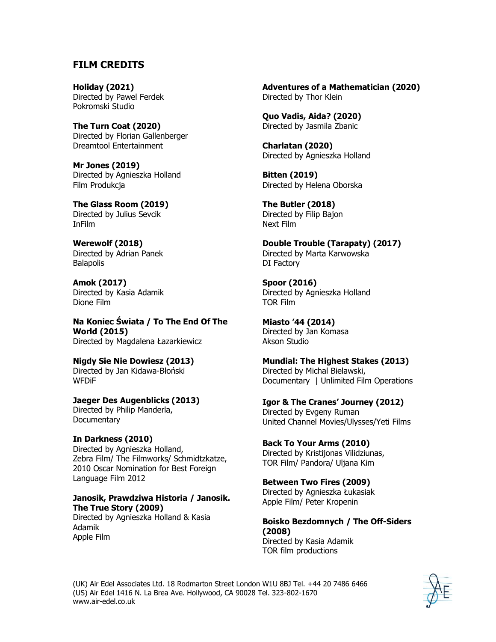#### **FILM CREDITS**

**Holiday (2021)** Directed by Pawel Ferdek Pokromski Studio

**The Turn Coat (2020)** Directed by Florian Gallenberger Dreamtool Entertainment

**Mr Jones (2019)** Directed by Agnieszka Holland Film Produkcja

**The Glass Room (2019)** Directed by Julius Sevcik InFilm

**Werewolf (2018)** Directed by Adrian Panek **Balapolis** 

**Amok (2017)** Directed by Kasia Adamik Dione Film

**Na Koniec Świata / To The End Of The World (2015)** Directed by Magdalena Łazarkiewicz

**Nigdy Sie Nie Dowiesz (2013)** Directed by Jan Kidawa-Błoński **WFD<sub>i</sub>F** 

**Jaeger Des Augenblicks (2013)** Directed by Philip Manderla, **Documentary** 

**In Darkness (2010)** Directed by Agnieszka Holland, Zebra Film/ The Filmworks/ Schmidtzkatze, 2010 Oscar Nomination for Best Foreign Language Film 2012

#### **Janosik, Prawdziwa Historia / Janosik. The True Story (2009)**

Directed by Agnieszka Holland & Kasia Adamik Apple Film

**Adventures of a Mathematician (2020)** Directed by Thor Klein

**Quo Vadis, Aida? (2020)** Directed by Jasmila Zbanic

**Charlatan (2020)** Directed by Agnieszka Holland

**Bitten (2019)** Directed by Helena Oborska

**The Butler (2018)** Directed by Filip Bajon Next Film

**Double Trouble (Tarapaty) (2017)** Directed by Marta Karwowska DI Factory

**Spoor (2016)** Directed by Agnieszka Holland TOR Film

**Miasto '44 (2014)** Directed by Jan Komasa Akson Studio

**Mundial: The Highest Stakes (2013)** Directed by Michal Bielawski, Documentary | Unlimited Film Operations

**Igor & The Cranes' Journey (2012)** Directed by Evgeny Ruman United Channel Movies/Ulysses/Yeti Films

**Back To Your Arms (2010)** Directed by Kristijonas Vilidziunas, TOR Film/ Pandora/ Uljana Kim

**Between Two Fires (2009)** Directed by Agnieszka Łukasiak Apple Film/ Peter Kropenin

**Boisko Bezdomnych / The Off-Siders (2008)** Directed by Kasia Adamik TOR film productions

(UK) Air Edel Associates Ltd. 18 Rodmarton Street London W1U 8BJ Tel. +44 20 7486 6466 (US) Air Edel 1416 N. La Brea Ave. Hollywood, CA 90028 Tel. 323-802-1670 www.air-edel.co.uk

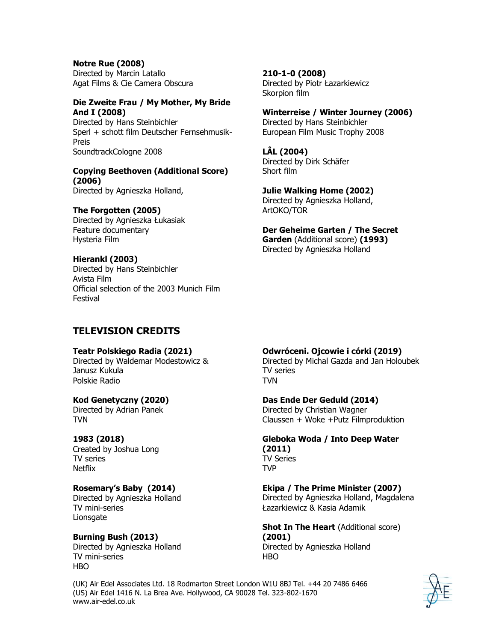**Notre Rue (2008)** Directed by Marcin Latallo Agat Films & Cie Camera Obscura

#### **Die Zweite Frau / My Mother, My Bride And I (2008)**

Directed by Hans Steinbichler Sperl + schott film Deutscher Fernsehmusik-Preis SoundtrackCologne 2008

#### **Copying Beethoven (Additional Score) (2006)**

Directed by Agnieszka Holland,

#### **The Forgotten (2005)**

Directed by Agnieszka Łukasiak Feature documentary Hysteria Film

#### **Hierankl (2003)**

Directed by Hans Steinbichler Avista Film Official selection of the 2003 Munich Film Festival

## **TELEVISION CREDITS**

#### **Teatr Polskiego Radia (2021)**

Directed by Waldemar Modestowicz & Janusz Kukula Polskie Radio

#### **Kod Genetyczny (2020)**

Directed by Adrian Panek TVN

#### **1983 (2018)**

Created by Joshua Long TV series Netflix

#### **Rosemary's Baby (2014)**

Directed by Agnieszka Holland TV mini-series Lionsgate

**Burning Bush (2013)** Directed by Agnieszka Holland TV mini-series HBO

## **210-1-0 (2008)**

Directed by Piotr Łazarkiewicz Skorpion film

#### **Winterreise / Winter Journey (2006)**

Directed by Hans Steinbichler European Film Music Trophy 2008

**LÂL (2004)** Directed by Dirk Schäfer Short film

#### **Julie Walking Home (2002)**

Directed by Agnieszka Holland, ArtOKO/TOR

**Der Geheime Garten / The Secret Garden** (Additional score) **(1993)** Directed by Agnieszka Holland

#### **Odwróceni. Ojcowie i córki (2019)**

Directed by Michal Gazda and Jan Holoubek TV series TVN

#### **Das Ende Der Geduld (2014)**

Directed by Christian Wagner Claussen + Woke +Putz Filmproduktion

**Gleboka Woda / Into Deep Water (2011)** TV Series TVP

#### **Ekipa / The Prime Minister (2007)**

Directed by Agnieszka Holland, Magdalena Łazarkiewicz & Kasia Adamik

**Shot In The Heart** (Additional score) **(2001)**

Directed by Agnieszka Holland HBO

(UK) Air Edel Associates Ltd. 18 Rodmarton Street London W1U 8BJ Tel. +44 20 7486 6466 (US) Air Edel 1416 N. La Brea Ave. Hollywood, CA 90028 Tel. 323-802-1670 www.air-edel.co.uk